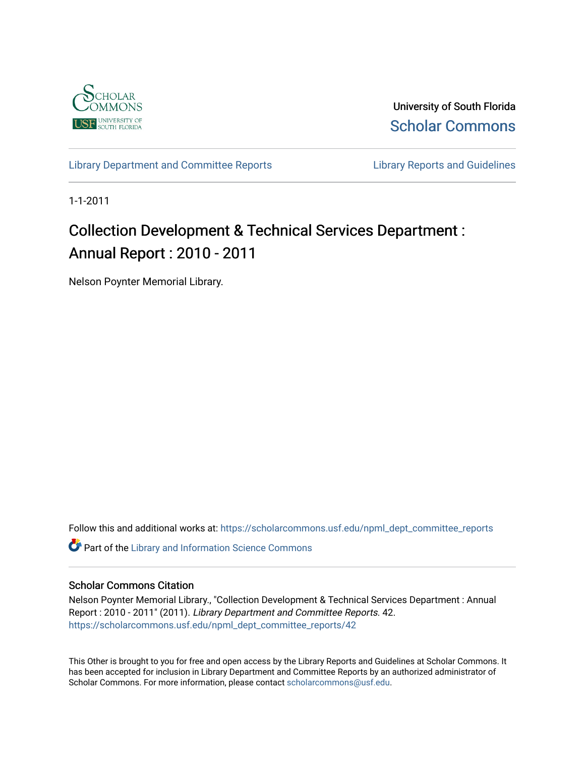

University of South Florida [Scholar Commons](https://scholarcommons.usf.edu/) 

[Library Department and Committee Reports](https://scholarcommons.usf.edu/npml_dept_committee_reports) **Library Reports and Guidelines** 

1-1-2011

## Collection Development & Technical Services Department : Annual Report : 2010 - 2011

Nelson Poynter Memorial Library.

Follow this and additional works at: [https://scholarcommons.usf.edu/npml\\_dept\\_committee\\_reports](https://scholarcommons.usf.edu/npml_dept_committee_reports?utm_source=scholarcommons.usf.edu%2Fnpml_dept_committee_reports%2F42&utm_medium=PDF&utm_campaign=PDFCoverPages)

**C** Part of the Library and Information Science Commons

## Scholar Commons Citation

Nelson Poynter Memorial Library., "Collection Development & Technical Services Department : Annual Report : 2010 - 2011" (2011). Library Department and Committee Reports. 42. [https://scholarcommons.usf.edu/npml\\_dept\\_committee\\_reports/42](https://scholarcommons.usf.edu/npml_dept_committee_reports/42?utm_source=scholarcommons.usf.edu%2Fnpml_dept_committee_reports%2F42&utm_medium=PDF&utm_campaign=PDFCoverPages) 

This Other is brought to you for free and open access by the Library Reports and Guidelines at Scholar Commons. It has been accepted for inclusion in Library Department and Committee Reports by an authorized administrator of Scholar Commons. For more information, please contact [scholarcommons@usf.edu](mailto:scholarcommons@usf.edu).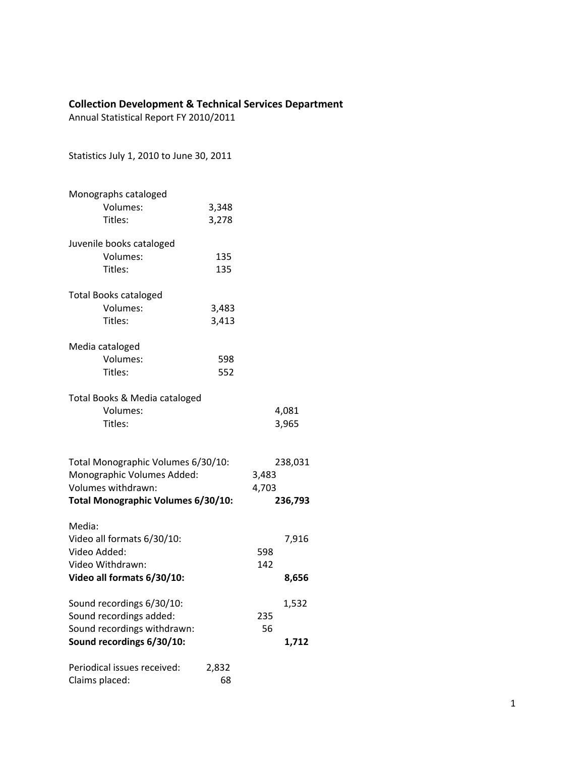## **Collection Development & Technical Services Department**

Annual Statistical Report FY 2010/2011

Statistics July 1, 2010 to June 30, 2011

| Monographs cataloged<br>Volumes:<br>Titles:                                            | 3,348<br>3,278 |                           |         |
|----------------------------------------------------------------------------------------|----------------|---------------------------|---------|
| Juvenile books cataloged<br>Volumes:<br>Titles:                                        | 135<br>135     |                           |         |
| <b>Total Books cataloged</b><br>Volumes:<br>Titles:                                    | 3,483<br>3,413 |                           |         |
| Media cataloged<br>Volumes:<br>Titles:                                                 | 598<br>552     |                           |         |
| Total Books & Media cataloged<br>Volumes:<br>Titles:                                   |                | 4,081<br>3,965            |         |
| Total Monographic Volumes 6/30/10:<br>Monographic Volumes Added:<br>Volumes withdrawn: |                | 238,031<br>3,483<br>4,703 |         |
| <b>Total Monographic Volumes 6/30/10:</b>                                              |                |                           | 236,793 |
| Media:<br>Video all formats 6/30/10:<br>Video Added:<br>Video Withdrawn:               |                | 598<br>142                | 7,916   |
| Video all formats 6/30/10:                                                             |                |                           | 8,656   |
| Sound recordings 6/30/10:<br>Sound recordings added:<br>Sound recordings withdrawn:    |                | 235<br>56                 | 1,532   |
| Sound recordings 6/30/10:                                                              |                |                           | 1,712   |
| Periodical issues received:<br>Claims placed:                                          | 2,832<br>68    |                           |         |